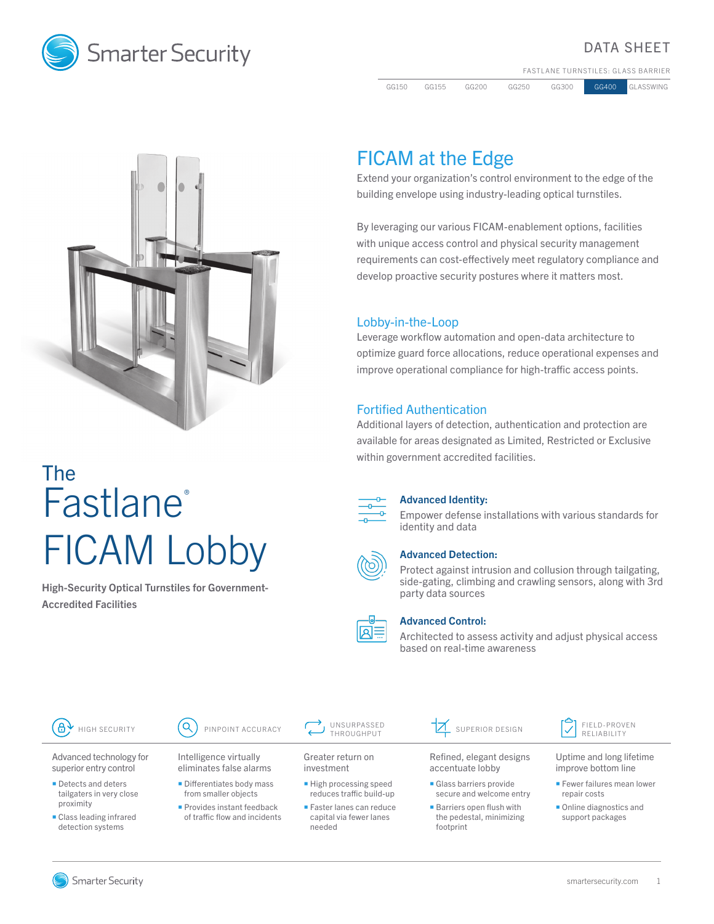

## DATA SHEET

FASTLANE TURNSTILES: GLASS BARRIER

GG150 GG155 GG200 GG250 GG300 GG400 GLASSWING



# The **Fastlane®** FICAM Lobby

High-Security Optical Turnstiles for Government-Accredited Facilities

# FICAM at the Edge

Extend your organization's control environment to the edge of the building envelope using industry-leading optical turnstiles.

By leveraging our various FICAM-enablement options, facilities with unique access control and physical security management requirements can cost-effectively meet regulatory compliance and develop proactive security postures where it matters most.

## Lobby-in-the-Loop

Leverage workflow automation and open-data architecture to optimize guard force allocations, reduce operational expenses and improve operational compliance for high-traffic access points.

## Fortified Authentication

Additional layers of detection, authentication and protection are available for areas designated as Limited, Restricted or Exclusive within government accredited facilities.



#### Advanced Identity:

Empower defense installations with various standards for identity and data



#### Advanced Detection:

Protect against intrusion and collusion through tailgating, side-gating, climbing and crawling sensors, along with 3rd party data sources



#### Advanced Control:

Architected to assess activity and adjust physical access based on real-time awareness



Advanced technology for superior entry control

- Detects and deters tailgaters in very close proximity
- Class leading infrared detection systems

Intelligence virtually eliminates false alarms

- **Differentiates body mass** from smaller objects
- Provides instant feedback of traffic flow and incidents

Greater return on investment

- **High processing speed** reduces traffic build-up
- **Faster lanes can reduce** capital via fewer lanes needed

 $\mathbb{Z}$  superior design  $\mathbb{Z}$  FIELD-PROVEN

footprint

Refined, elegant designs accentuate lobby Glass barriers provide secure and welcome entry **Barriers open flush with** the pedestal, minimizing

RELIABILITY

Uptime and long lifetime improve bottom line

- **Fewer failures mean lower** repair costs
- **Online diagnostics and** support packages

Smarter Security